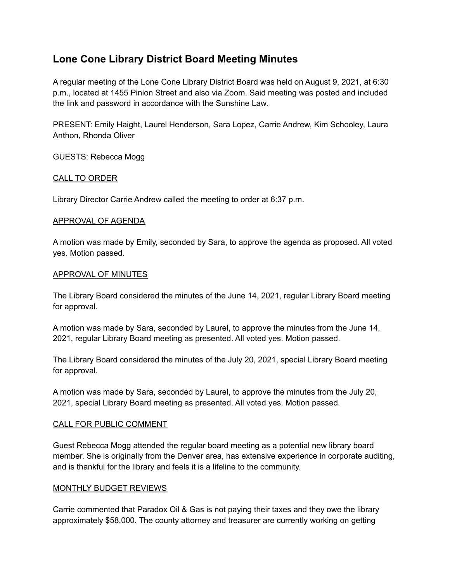# **Lone Cone Library District Board Meeting Minutes**

A regular meeting of the Lone Cone Library District Board was held on August 9, 2021, at 6:30 p.m., located at 1455 Pinion Street and also via Zoom. Said meeting was posted and included the link and password in accordance with the Sunshine Law.

PRESENT: Emily Haight, Laurel Henderson, Sara Lopez, Carrie Andrew, Kim Schooley, Laura Anthon, Rhonda Oliver

GUESTS: Rebecca Mogg

# CALL TO ORDER

Library Director Carrie Andrew called the meeting to order at 6:37 p.m.

## APPROVAL OF AGENDA

A motion was made by Emily, seconded by Sara, to approve the agenda as proposed. All voted yes. Motion passed.

## APPROVAL OF MINUTES

The Library Board considered the minutes of the June 14, 2021, regular Library Board meeting for approval.

A motion was made by Sara, seconded by Laurel, to approve the minutes from the June 14, 2021, regular Library Board meeting as presented. All voted yes. Motion passed.

The Library Board considered the minutes of the July 20, 2021, special Library Board meeting for approval.

A motion was made by Sara, seconded by Laurel, to approve the minutes from the July 20, 2021, special Library Board meeting as presented. All voted yes. Motion passed.

## CALL FOR PUBLIC COMMENT

Guest Rebecca Mogg attended the regular board meeting as a potential new library board member. She is originally from the Denver area, has extensive experience in corporate auditing, and is thankful for the library and feels it is a lifeline to the community.

## MONTHLY BUDGET REVIEWS

Carrie commented that Paradox Oil & Gas is not paying their taxes and they owe the library approximately \$58,000. The county attorney and treasurer are currently working on getting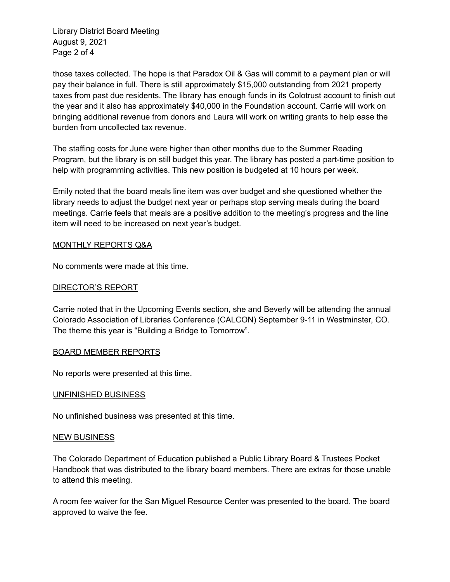Library District Board Meeting August 9, 2021 Page 2 of 4

those taxes collected. The hope is that Paradox Oil & Gas will commit to a payment plan or will pay their balance in full. There is still approximately \$15,000 outstanding from 2021 property taxes from past due residents. The library has enough funds in its Colotrust account to finish out the year and it also has approximately \$40,000 in the Foundation account. Carrie will work on bringing additional revenue from donors and Laura will work on writing grants to help ease the burden from uncollected tax revenue.

The staffing costs for June were higher than other months due to the Summer Reading Program, but the library is on still budget this year. The library has posted a part-time position to help with programming activities. This new position is budgeted at 10 hours per week.

Emily noted that the board meals line item was over budget and she questioned whether the library needs to adjust the budget next year or perhaps stop serving meals during the board meetings. Carrie feels that meals are a positive addition to the meeting's progress and the line item will need to be increased on next year's budget.

# MONTHLY REPORTS Q&A

No comments were made at this time.

# DIRECTOR'S REPORT

Carrie noted that in the Upcoming Events section, she and Beverly will be attending the annual Colorado Association of Libraries Conference (CALCON) September 9-11 in Westminster, CO. The theme this year is "Building a Bridge to Tomorrow".

## BOARD MEMBER REPORTS

No reports were presented at this time.

## UNFINISHED BUSINESS

No unfinished business was presented at this time.

#### NEW BUSINESS

The Colorado Department of Education published a Public Library Board & Trustees Pocket Handbook that was distributed to the library board members. There are extras for those unable to attend this meeting.

A room fee waiver for the San Miguel Resource Center was presented to the board. The board approved to waive the fee.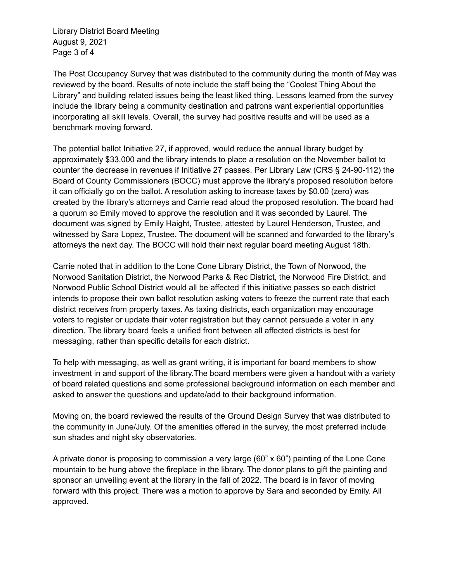Library District Board Meeting August 9, 2021 Page 3 of 4

The Post Occupancy Survey that was distributed to the community during the month of May was reviewed by the board. Results of note include the staff being the "Coolest Thing About the Library" and building related issues being the least liked thing. Lessons learned from the survey include the library being a community destination and patrons want experiential opportunities incorporating all skill levels. Overall, the survey had positive results and will be used as a benchmark moving forward.

The potential ballot Initiative 27, if approved, would reduce the annual library budget by approximately \$33,000 and the library intends to place a resolution on the November ballot to counter the decrease in revenues if Initiative 27 passes. Per Library Law (CRS § 24-90-112) the Board of County Commissioners (BOCC) must approve the library's proposed resolution before it can officially go on the ballot. A resolution asking to increase taxes by \$0.00 (zero) was created by the library's attorneys and Carrie read aloud the proposed resolution. The board had a quorum so Emily moved to approve the resolution and it was seconded by Laurel. The document was signed by Emily Haight, Trustee, attested by Laurel Henderson, Trustee, and witnessed by Sara Lopez, Trustee. The document will be scanned and forwarded to the library's attorneys the next day. The BOCC will hold their next regular board meeting August 18th.

Carrie noted that in addition to the Lone Cone Library District, the Town of Norwood, the Norwood Sanitation District, the Norwood Parks & Rec District, the Norwood Fire District, and Norwood Public School District would all be affected if this initiative passes so each district intends to propose their own ballot resolution asking voters to freeze the current rate that each district receives from property taxes. As taxing districts, each organization may encourage voters to register or update their voter registration but they cannot persuade a voter in any direction. The library board feels a unified front between all affected districts is best for messaging, rather than specific details for each district.

To help with messaging, as well as grant writing, it is important for board members to show investment in and support of the library.The board members were given a handout with a variety of board related questions and some professional background information on each member and asked to answer the questions and update/add to their background information.

Moving on, the board reviewed the results of the Ground Design Survey that was distributed to the community in June/July. Of the amenities offered in the survey, the most preferred include sun shades and night sky observatories.

A private donor is proposing to commission a very large (60" x 60") painting of the Lone Cone mountain to be hung above the fireplace in the library. The donor plans to gift the painting and sponsor an unveiling event at the library in the fall of 2022. The board is in favor of moving forward with this project. There was a motion to approve by Sara and seconded by Emily. All approved.